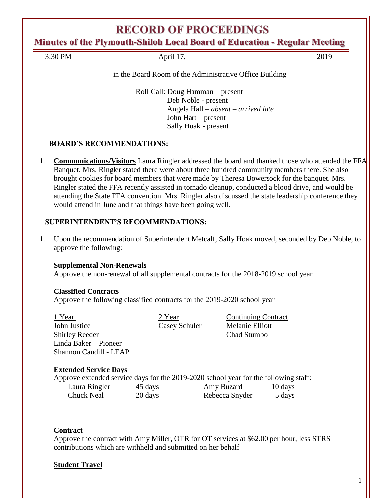# **RECORD OF PROCEEDINGS**

**Minutes of the Plymouth-Shiloh Local Board of Education - Regular Meeting**

3:30 PM April 17, 2019

### in the Board Room of the Administrative Office Building

Roll Call: Doug Hamman – present Deb Noble - present Angela Hall – *absent – arrived late* John Hart – present Sally Hoak - present

# **BOARD'S RECOMMENDATIONS:**

1. **Communications/Visitors** Laura Ringler addressed the board and thanked those who attended the FFA Banquet. Mrs. Ringler stated there were about three hundred community members there. She also brought cookies for board members that were made by Theresa Bowersock for the banquet. Mrs. Ringler stated the FFA recently assisted in tornado cleanup, conducted a blood drive, and would be attending the State FFA convention. Mrs. Ringler also discussed the state leadership conference they would attend in June and that things have been going well.

# **SUPERINTENDENT'S RECOMMENDATIONS:**

1. Upon the recommendation of Superintendent Metcalf, Sally Hoak moved, seconded by Deb Noble, to approve the following:

# **Supplemental Non-Renewals**

Approve the non-renewal of all supplemental contracts for the 2018-2019 school year

# **Classified Contracts**

Approve the following classified contracts for the 2019-2020 school year

| 1 Year                 |
|------------------------|
| John Justice           |
| Shirley Reeder         |
| Linda Baker – Pioneer  |
| Shannon Caudill - LEAP |

1 Year 2 Year Continuing Contract **Casey Schuler** Melanie Elliott Chad Stumbo

# **Extended Service Days**

|               |         | Approve extended service days for the 2019-2020 school year for the following staff: |         |
|---------------|---------|--------------------------------------------------------------------------------------|---------|
| Laura Ringler | 45 days | Amy Buzard                                                                           | 10 days |
| Chuck Neal    | 20 days | Rebecca Snyder                                                                       | 5 days  |

# **Contract**

Approve the contract with Amy Miller, OTR for OT services at \$62.00 per hour, less STRS contributions which are withheld and submitted on her behalf

# **Student Travel**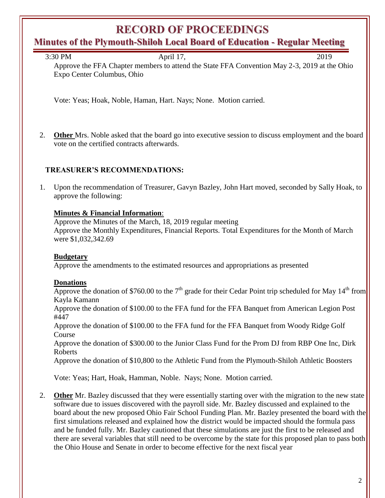# **RECORD OF PROCEEDINGS**

# **Minutes of the Plymouth-Shiloh Local Board of Education - Regular Meeting**

| 3:30 PM | April 17,                                                                                    | 2019 |
|---------|----------------------------------------------------------------------------------------------|------|
|         | Approve the FFA Chapter members to attend the State FFA Convention May 2-3, 2019 at the Ohio |      |

Vote: Yeas; Hoak, Noble, Haman, Hart. Nays; None. Motion carried.

2. **Other** Mrs. Noble asked that the board go into executive session to discuss employment and the board vote on the certified contracts afterwards.

### **TREASURER'S RECOMMENDATIONS:**

Expo Center Columbus, Ohio

1. Upon the recommendation of Treasurer, Gavyn Bazley, John Hart moved, seconded by Sally Hoak, to approve the following:

### **Minutes & Financial Information**:

Approve the Minutes of the March, 18, 2019 regular meeting Approve the Monthly Expenditures, Financial Reports. Total Expenditures for the Month of March were \$1,032,342.69

### **Budgetary**

Approve the amendments to the estimated resources and appropriations as presented

### **Donations**

Approve the donation of \$760.00 to the  $7<sup>th</sup>$  grade for their Cedar Point trip scheduled for May 14<sup>th</sup> from Kayla Kamann

Approve the donation of \$100.00 to the FFA fund for the FFA Banquet from American Legion Post #447

Approve the donation of \$100.00 to the FFA fund for the FFA Banquet from Woody Ridge Golf Course

Approve the donation of \$300.00 to the Junior Class Fund for the Prom DJ from RBP One Inc, Dirk Roberts

Approve the donation of \$10,800 to the Athletic Fund from the Plymouth-Shiloh Athletic Boosters

Vote: Yeas; Hart, Hoak, Hamman, Noble. Nays; None. Motion carried.

2. **Other** Mr. Bazley discussed that they were essentially starting over with the migration to the new state software due to issues discovered with the payroll side. Mr. Bazley discussed and explained to the board about the new proposed Ohio Fair School Funding Plan. Mr. Bazley presented the board with the first simulations released and explained how the district would be impacted should the formula pass and be funded fully. Mr. Bazley cautioned that these simulations are just the first to be released and there are several variables that still need to be overcome by the state for this proposed plan to pass both the Ohio House and Senate in order to become effective for the next fiscal year